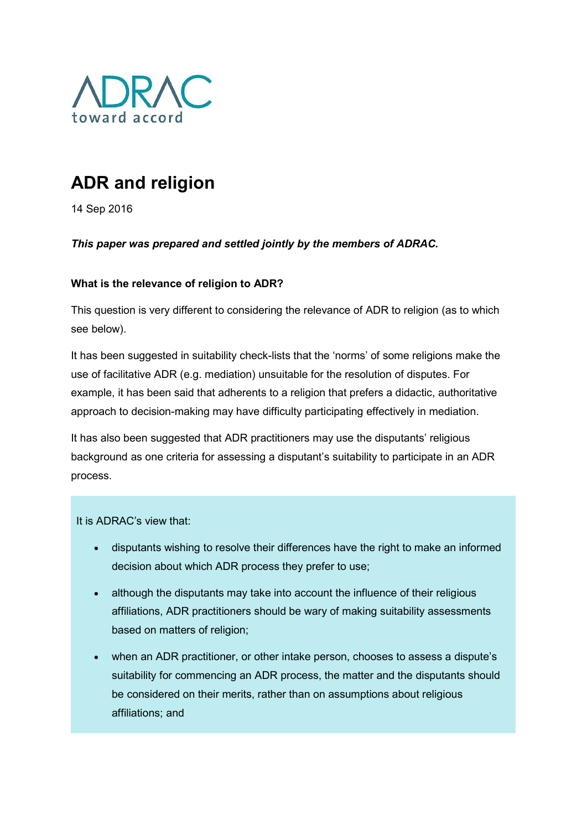

## ADR and religion

14 Sep 2016

This paper was prepared and settled jointly by the members of ADRAC.

## What is the relevance of religion to ADR?

This question is very different to considering the relevance of ADR to religion (as to which see below).

It has been suggested in suitability check-lists that the 'norms' of some religions make the use of facilitative ADR (e.g. mediation) unsuitable for the resolution of disputes. For example, it has been said that adherents to a religion that prefers a didactic, authoritative approach to decision-making may have difficulty participating effectively in mediation.

It has also been suggested that ADR practitioners may use the disputants' religious background as one criteria for assessing a disputant's suitability to participate in an ADR process.

It is ADRAC's view that:

- disputants wishing to resolve their differences have the right to make an informed decision about which ADR process they prefer to use;
- although the disputants may take into account the influence of their religious affiliations, ADR practitioners should be wary of making suitability assessments based on matters of religion;
- when an ADR practitioner, or other intake person, chooses to assess a dispute's suitability for commencing an ADR process, the matter and the disputants should be considered on their merits, rather than on assumptions about religious affiliations; and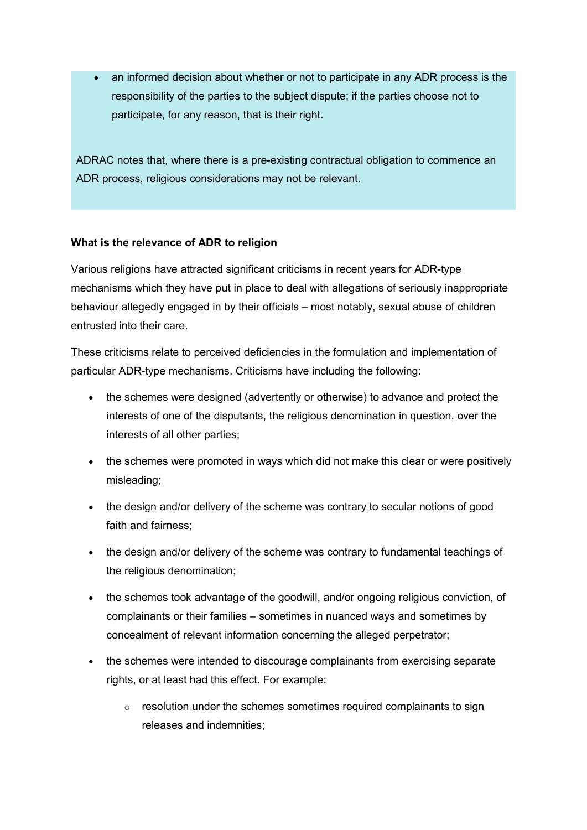an informed decision about whether or not to participate in any ADR process is the responsibility of the parties to the subject dispute; if the parties choose not to participate, for any reason, that is their right.

ADRAC notes that, where there is a pre-existing contractual obligation to commence an ADR process, religious considerations may not be relevant.

## What is the relevance of ADR to religion

Various religions have attracted significant criticisms in recent years for ADR-type mechanisms which they have put in place to deal with allegations of seriously inappropriate behaviour allegedly engaged in by their officials – most notably, sexual abuse of children entrusted into their care.

These criticisms relate to perceived deficiencies in the formulation and implementation of particular ADR-type mechanisms. Criticisms have including the following:

- the schemes were designed (advertently or otherwise) to advance and protect the interests of one of the disputants, the religious denomination in question, over the interests of all other parties;
- the schemes were promoted in ways which did not make this clear or were positively misleading;
- the design and/or delivery of the scheme was contrary to secular notions of good faith and fairness;
- the design and/or delivery of the scheme was contrary to fundamental teachings of the religious denomination;
- the schemes took advantage of the goodwill, and/or ongoing religious conviction, of complainants or their families – sometimes in nuanced ways and sometimes by concealment of relevant information concerning the alleged perpetrator;
- the schemes were intended to discourage complainants from exercising separate rights, or at least had this effect. For example:
	- $\circ$  resolution under the schemes sometimes required complainants to sign releases and indemnities;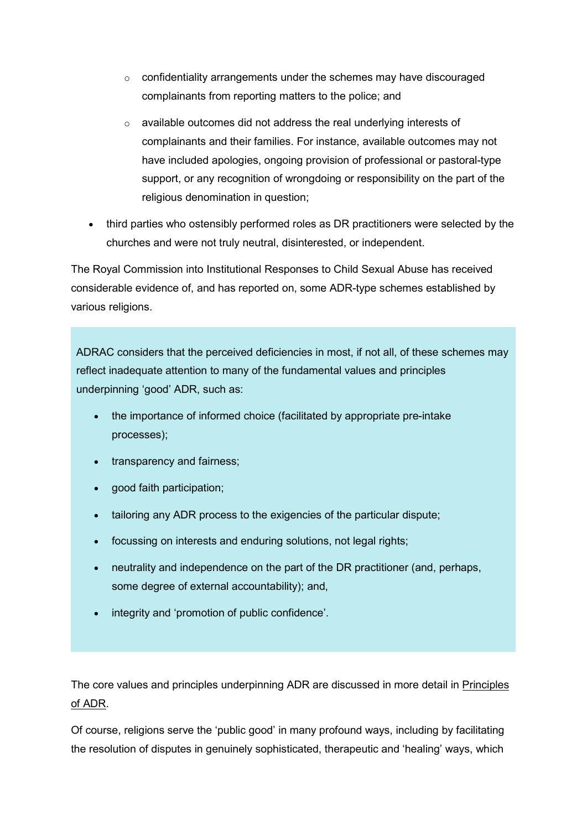- $\circ$  confidentiality arrangements under the schemes may have discouraged complainants from reporting matters to the police; and
- o available outcomes did not address the real underlying interests of complainants and their families. For instance, available outcomes may not have included apologies, ongoing provision of professional or pastoral-type support, or any recognition of wrongdoing or responsibility on the part of the religious denomination in question;
- third parties who ostensibly performed roles as DR practitioners were selected by the churches and were not truly neutral, disinterested, or independent.

The Royal Commission into Institutional Responses to Child Sexual Abuse has received considerable evidence of, and has reported on, some ADR-type schemes established by various religions.

ADRAC considers that the perceived deficiencies in most, if not all, of these schemes may reflect inadequate attention to many of the fundamental values and principles underpinning 'good' ADR, such as:

- the importance of informed choice (facilitated by appropriate pre-intake processes);
- transparency and fairness;
- good faith participation;
- tailoring any ADR process to the exigencies of the particular dispute;
- focussing on interests and enduring solutions, not legal rights;
- neutrality and independence on the part of the DR practitioner (and, perhaps, some degree of external accountability); and,
- integrity and 'promotion of public confidence'.

The core values and principles underpinning ADR are discussed in more detail in Principles of ADR.

Of course, religions serve the 'public good' in many profound ways, including by facilitating the resolution of disputes in genuinely sophisticated, therapeutic and 'healing' ways, which